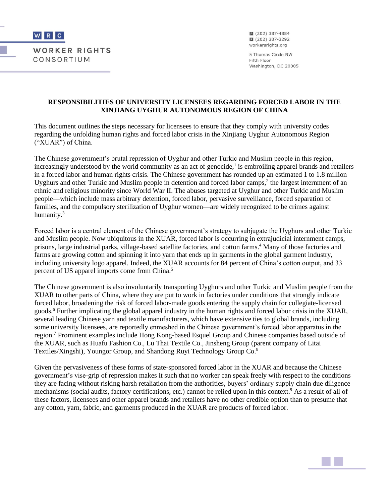

■ (202) 387-4884 ■ (202) 387-3292 workersrights.org

5 Thomas Circle NW Fifth Floor Washington, DC 20005

#### **RESPONSIBILITIES OF UNIVERSITY LICENSEES REGARDING FORCED LABOR IN THE XINJIANG UYGHUR AUTONOMOUS REGION OF CHINA**

This document outlines the steps necessary for licensees to ensure that they comply with university codes regarding the unfolding human rights and forced labor crisis in the Xinjiang Uyghur Autonomous Region ("XUAR") of China.

The Chinese government's brutal repression of Uyghur and other Turkic and Muslim people in this region, increasingly understood by the world community as an act of genocide,<sup>1</sup> is embroiling apparel brands and retailers in a forced labor and human rights crisis. The Chinese government has rounded up an estimated 1 to 1.8 million Uyghurs and other Turkic and Muslim people in detention and forced labor camps,<sup>2</sup> the largest internment of an ethnic and religious minority since World War II. The abuses targeted at Uyghur and other Turkic and Muslim people—which include mass arbitrary detention, forced labor, pervasive surveillance, forced separation of families, and the compulsory sterilization of Uyghur women—are widely recognized to be crimes against humanity.<sup>3</sup>

Forced labor is a central element of the Chinese government's strategy to subjugate the Uyghurs and other Turkic and Muslim people. Now ubiquitous in the XUAR, forced labor is occurring in extrajudicial internment camps, prisons, large industrial parks, village-based satellite factories, and cotton farms.<sup>4</sup> Many of those factories and farms are growing cotton and spinning it into yarn that ends up in garments in the global garment industry, including university logo apparel. Indeed, the XUAR accounts for 84 percent of China's cotton output, and 33 percent of US apparel imports come from China.<sup>5</sup>

The Chinese government is also involuntarily transporting Uyghurs and other Turkic and Muslim people from the XUAR to other parts of China, where they are put to work in factories under conditions that strongly indicate forced labor, broadening the risk of forced labor-made goods entering the supply chain for collegiate-licensed goods.<sup>6</sup> Further implicating the global apparel industry in the human rights and forced labor crisis in the XUAR, several leading Chinese yarn and textile manufacturers, which have extensive ties to global brands, including some university licensees, are reportedly enmeshed in the Chinese government's forced labor apparatus in the region.<sup>7</sup> Prominent examples include Hong Kong-based Esquel Group and Chinese companies based outside of the XUAR, such as Huafu Fashion Co., Lu Thai Textile Co., Jinsheng Group (parent company of Litai Textiles/Xingshi), Youngor Group, and Shandong Ruyi Technology Group Co.<sup>8</sup>

Given the pervasiveness of these forms of state-sponsored forced labor in the XUAR and because the Chinese government's vise-grip of repression makes it such that no worker can speak freely with respect to the conditions they are facing without risking harsh retaliation from the authorities, buyers' ordinary supply chain due diligence mechanisms (social audits, factory certifications, etc.) cannot be relied upon in this context.<sup>9</sup> As a result of all of these factors, licensees and other apparel brands and retailers have no other credible option than to presume that any cotton, yarn, fabric, and garments produced in the XUAR are products of forced labor.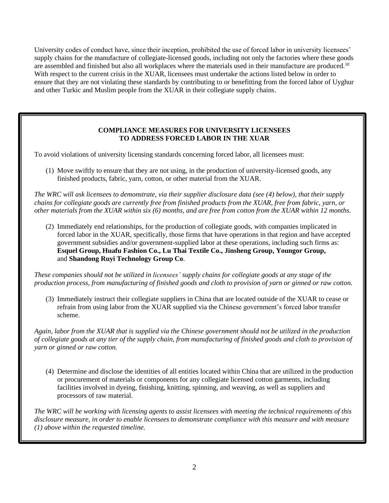University codes of conduct have, since their inception, prohibited the use of forced labor in university licensees' supply chains for the manufacture of collegiate-licensed goods, including not only the factories where these goods are assembled and finished but also all workplaces where the materials used in their manufacture are produced.<sup>10</sup> With respect to the current crisis in the XUAR, licensees must undertake the actions listed below in order to ensure that they are not violating these standards by contributing to or benefitting from the forced labor of Uyghur and other Turkic and Muslim people from the XUAR in their collegiate supply chains.

## **COMPLIANCE MEASURES FOR UNIVERSITY LICENSEES TO ADDRESS FORCED LABOR IN THE XUAR**

To avoid violations of university licensing standards concerning forced labor, all licensees must:

(1) Move swiftly to ensure that they are not using, in the production of university-licensed goods, any finished products, fabric, yarn, cotton, or other material from the XUAR.

*The WRC will ask licensees to demonstrate, via their supplier disclosure data (see (4) below), that their supply chains for collegiate goods are currently free from finished products from the XUAR, free from fabric, yarn, or other materials from the XUAR within six (6) months, and are free from cotton from the XUAR within 12 months.*

(2) Immediately end relationships, for the production of collegiate goods, with companies implicated in forced labor in the XUAR, specifically, those firms that have operations in that region and have accepted government subsidies and/or government-supplied labor at these operations, including such firms as: **Esquel Group, Huafu Fashion Co., Lu Thai Textile Co., Jinsheng Group, Youngor Group,**  and **Shandong Ruyi Technology Group Co**.

*These companies should not be utilized in licensees' supply chains for collegiate goods at any stage of the production process, from manufacturing of finished goods and cloth to provision of yarn or ginned or raw cotton.* 

(3) Immediately instruct their collegiate suppliers in China that are located outside of the XUAR to cease or refrain from using labor from the XUAR supplied via the Chinese government's forced labor transfer scheme.

*Again, labor from the XUAR that is supplied via the Chinese government should not be utilized in the production of collegiate goods at any tier of the supply chain, from manufacturing of finished goods and cloth to provision of yarn or ginned or raw cotton.* 

(4) Determine and disclose the identities of all entities located within China that are utilized in the production or procurement of materials or components for any collegiate licensed cotton garments, including facilities involved in dyeing, finishing, knitting, spinning, and weaving, as well as suppliers and processors of raw material.

*The WRC will be working with licensing agents to assist licensees with meeting the technical requirements of this disclosure measure, in order to enable licensees to demonstrate compliance with this measure and with measure (1) above within the requested timeline.*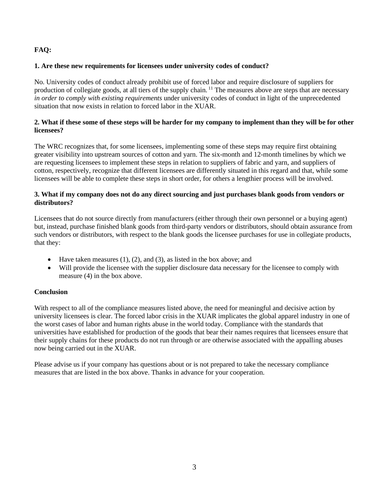# **FAQ:**

#### **1. Are these new requirements for licensees under university codes of conduct?**

No. University codes of conduct already prohibit use of forced labor and require disclosure of suppliers for production of collegiate goods, at all tiers of the supply chain. <sup>11</sup> The measures above are steps that are necessary *in order to comply with existing requirements* under university codes of conduct in light of the unprecedented situation that now exists in relation to forced labor in the XUAR.

## **2. What if these some of these steps will be harder for my company to implement than they will be for other licensees?**

The WRC recognizes that, for some licensees, implementing some of these steps may require first obtaining greater visibility into upstream sources of cotton and yarn. The six-month and 12-month timelines by which we are requesting licensees to implement these steps in relation to suppliers of fabric and yarn, and suppliers of cotton, respectively, recognize that different licensees are differently situated in this regard and that, while some licensees will be able to complete these steps in short order, for others a lengthier process will be involved.

## **3. What if my company does not do any direct sourcing and just purchases blank goods from vendors or distributors?**

Licensees that do not source directly from manufacturers (either through their own personnel or a buying agent) but, instead, purchase finished blank goods from third-party vendors or distributors, should obtain assurance from such vendors or distributors, with respect to the blank goods the licensee purchases for use in collegiate products, that they:

- Have taken measures  $(1)$ ,  $(2)$ , and  $(3)$ , as listed in the box above; and
- Will provide the licensee with the supplier disclosure data necessary for the licensee to comply with measure (4) in the box above.

# **Conclusion**

With respect to all of the compliance measures listed above, the need for meaningful and decisive action by university licensees is clear. The forced labor crisis in the XUAR implicates the global apparel industry in one of the worst cases of labor and human rights abuse in the world today. Compliance with the standards that universities have established for production of the goods that bear their names requires that licensees ensure that their supply chains for these products do not run through or are otherwise associated with the appalling abuses now being carried out in the XUAR.

Please advise us if your company has questions about or is not prepared to take the necessary compliance measures that are listed in the box above. Thanks in advance for your cooperation.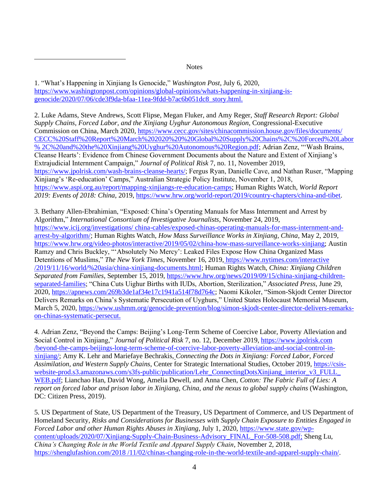#### **Notes**

1. "What's Happening in Xinjiang Is Genocide," *Washington Post*, July 6, 2020, [https://www.washingtonpost.com/opinions/global-opinions/whats-happening-in-xinjiang-is](https://www.washingtonpost.com/opinions/global-opinions/whats-happening-in-xinjiang-is-genocide/2020/07/06/cde3f9da-bfaa-11ea-9fdd-b7ac6b051dc8_story.html)[genocide/2020/07/06/cde3f9da-bfaa-11ea-9fdd-b7ac6b051dc8\\_story.html.](https://www.washingtonpost.com/opinions/global-opinions/whats-happening-in-xinjiang-is-genocide/2020/07/06/cde3f9da-bfaa-11ea-9fdd-b7ac6b051dc8_story.html)

2. Luke Adams, Steve Andrews, Scott Flipse, Megan Fluker, and Amy Reger, *Staff Research Report: Global Supply Chains, Forced Labor, and the Xinjiang Uyghur Autonomous Region*, Congressional-Executive Commission on China, March 2020, [https://www.cecc.gov/sites/chinacommission.house.gov/files/documents/](https://www.cecc.gov/sites/chinacommission.house.gov/files/documents/CECC%20Staff%20Report%20March%202020%20-%20Global%20Supply%20Chains%2C%20Forced%20Labor%2C%20and%20the%20Xinjiang%20Uyghur%20Autonomous%20Region.pdf) [CECC%20Staff%20Report%20March%202020%20%20Global%20Supply%20Chains%2C%20Forced%20Labor](https://www.cecc.gov/sites/chinacommission.house.gov/files/documents/CECC%20Staff%20Report%20March%202020%20-%20Global%20Supply%20Chains%2C%20Forced%20Labor%2C%20and%20the%20Xinjiang%20Uyghur%20Autonomous%20Region.pdf) [% 2C%20and%20the%20Xinjiang%20Uyghur%20Autonomous%20Region.pdf;](https://www.cecc.gov/sites/chinacommission.house.gov/files/documents/CECC%20Staff%20Report%20March%202020%20-%20Global%20Supply%20Chains%2C%20Forced%20Labor%2C%20and%20the%20Xinjiang%20Uyghur%20Autonomous%20Region.pdf) Adrian Zenz, "'Wash Brains, Cleanse Hearts': Evidence from Chinese Government Documents about the Nature and Extent of Xinjiang's Extrajudicial Internment Campaign," *Journal of Political Risk* 7, no. 11, November 2019, [https://www.jpolrisk.com/wash-brains-cleanse-hearts/;](https://www.jpolrisk.com/wash-brains-cleanse-hearts/) Fergus Ryan, Danielle Cave, and Nathan Ruser, "Mapping Xinjiang's 'Re-education' Camps," Australian Strategic Policy Institute, November 1, 2018, [https://www.aspi.org.au/report/mapping-xinjiangs-re-education-camps;](https://www.aspi.org.au/report/mapping-xinjiangs-re-education-camps) Human Rights Watch, *World Report 2019: Events of 2018: China*, 2019, [https://www.hrw.org/world-report/2019/country-chapters/china-and-tibet.](https://www.hrw.org/world-report/2019/country-chapters/china-and-tibet)

3. Bethany Allen-Ebrahimian, "Exposed: China's Operating Manuals for Mass Internment and Arrest by Algorithm," *International Consortium of Investigative Journalists*, November 24, 2019, [https://www.icij.org/investigations/ china-cables/exposed-chinas-operating-manuals-for-mass-internment-and](https://www.icij.org/investigations/%20china-cables/exposed-chinas-operating-manuals-for-mass-internment-and-arrest-by-algorithm/)[arrest-by-algorithm/;](https://www.icij.org/investigations/%20china-cables/exposed-chinas-operating-manuals-for-mass-internment-and-arrest-by-algorithm/) Human Rights Watch, *How Mass Surveillance Works in Xinjiang, China*, May 2, 2019, [https://www.hrw.org/video-photos/interactive/2019/05/02/china-how-mass-surveillance-works-xinjiang;](https://www.hrw.org/video-photos/interactive/2019/05/02/china-how-mass-surveillance-works-xinjiang) Austin Ramzy and Chris Buckley, "'Absolutely No Mercy': Leaked Files Expose How China Organized Mass Detentions of Muslims," *The New York Times*, November 16, 2019, [https://www.nytimes.com/interactive](https://www.nytimes.com/interactive/2019/11/16/world/asia/china-xinjiang-documents.html)  [/2019/11/16/world/%20asia/china-xinjiang-documents.html;](https://www.nytimes.com/interactive/2019/11/16/world/asia/china-xinjiang-documents.html) Human Rights Watch, *China: Xinjiang Children Separated from Families*, September 15, 2019[, https://www.hrw.org/news/2019/09/15/china-xinjiang-children](https://www.hrw.org/news/2019/09/15/china-xinjiang-children-separated-families)[separated-families;](https://www.hrw.org/news/2019/09/15/china-xinjiang-children-separated-families) "China Cuts Uighur Births with IUDs, Abortion, Sterilization," *Associated Press*, June 29, 2020, [https://apnews.com/269b3de1af34e17c1941a514f78d764c;](https://apnews.com/269b3de1af34e17c1941a514f78d764c) Naomi Kikoler, "Simon-Skjodt Center Director Delivers Remarks on China's Systematic Persecution of Uyghurs," United States Holocaust Memorial Museum, March 5, 2020, [https://www.ushmm.org/genocide-prevention/blog/simon-skjodt-center-director-delivers-remarks](https://www.ushmm.org/genocide-prevention/blog/simon-skjodt-center-director-delivers-remarks-on-chinas-systematic-persecut)[on-chinas-systematic-persecut.](https://www.ushmm.org/genocide-prevention/blog/simon-skjodt-center-director-delivers-remarks-on-chinas-systematic-persecut)

4. Adrian Zenz, "Beyond the Camps: Beijing's Long-Term Scheme of Coercive Labor, Poverty Alleviation and Social Control in Xinjiang," *Journal of Political Risk* 7, no. 12, December 2019, [https://www.jpolrisk.com](https://www.jpolrisk.com/beyond-the-camps-beijings-long-term-scheme-of-coercive-labor-poverty-alleviation-and-social-control-in-xinjiang/)  [/beyond-the-camps-beijings-long-term-scheme-of-coercive-labor-poverty-alleviation-and-social-control-in](https://www.jpolrisk.com/beyond-the-camps-beijings-long-term-scheme-of-coercive-labor-poverty-alleviation-and-social-control-in-xinjiang/)[xinjiang/;](https://www.jpolrisk.com/beyond-the-camps-beijings-long-term-scheme-of-coercive-labor-poverty-alleviation-and-social-control-in-xinjiang/) Amy K. Lehr and Mariefaye Bechrakis, *Connecting the Dots in Xinjiang: Forced Labor, Forced Assimilation, and Western Supply Chains*, Center for Strategic International Studies, October 2019, [https://csis](https://csis-website-prod.s3.amazonaws.com/s3fs-public/publication/Lehr_ConnectingDotsXinjiang_interior_v3_FULL_WEB.pdf)website-prod.s3.amazonaws.com/s3fs-public/publication/Lehr\_ConnectingDotsXinjiang\_interior\_v3\_FULL\_ [WEB.pdf;](https://csis-website-prod.s3.amazonaws.com/s3fs-public/publication/Lehr_ConnectingDotsXinjiang_interior_v3_FULL_WEB.pdf) Lianchao Han, David Wong, Amelia Dewell, and Anna Chen, *Cotton: The Fabric Full of Lies: A report on forced labor and prison labor in Xinjiang, China, and the nexus to global supply chains* (Washington, DC: Citizen Press, 2019).

5. US Department of State, US Department of the Treasury, US Department of Commerce, and US Department of Homeland Security, *Risks and Considerations for Businesses with Supply Chain Exposure to Entities Engaged in Forced Labor and other Human Rights Abuses in Xinjiang*, July 1, 2020, [https://www.state.gov/wp](https://www.state.gov/wp-content/uploads/2020/07/Xinjiang-Supply-Chain-Business-Advisory_FINAL_For-508-508.pdf)[content/uploads/2020/07/Xinjiang-Supply-Chain-Business-Advisory\\_FINAL\\_For-508-508.pdf;](https://www.state.gov/wp-content/uploads/2020/07/Xinjiang-Supply-Chain-Business-Advisory_FINAL_For-508-508.pdf) Sheng Lu, *China's Changing Role in the World Textile and Apparel Supply Chain*, November 2, 2018, [https://shenglufashion.com/2018 /11/02/chinas-changing-role-in-the-world-textile-and-apparel-supply-chain/.](https://shenglufashion.com/2018/11/02/chinas-changing-role-in-the-world-textile-and-apparel-supply-chain/)